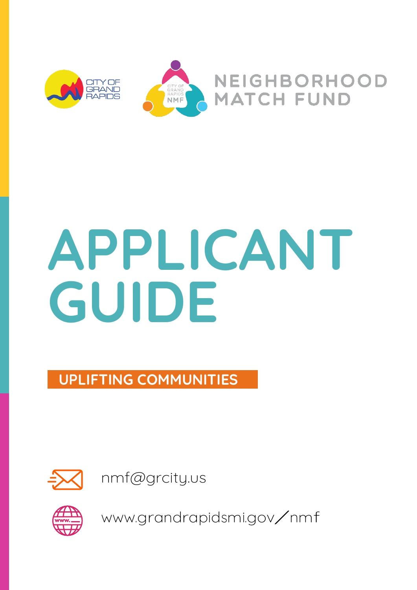

# APPLICANT GUIDE

UPLIFTING COMMUNITIES



[nmf@grcity.us](mailto:nmf@grcity.us)



[www.grandrapidsmi.gov/nmf](http://www.grandrapidsmi.gov/nmf)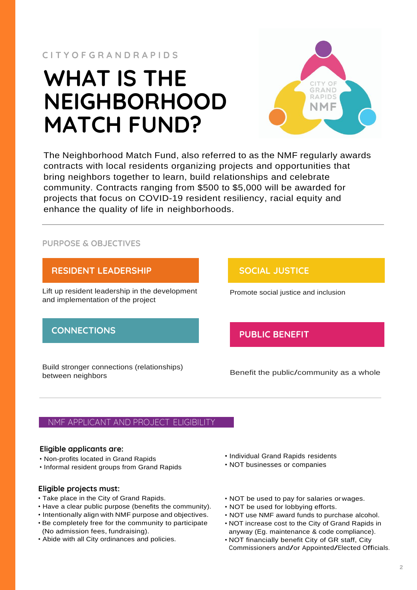## WHAT IS THE NEIGHBORHOOD MATCH FUND?



The Neighborhood Match Fund, also referred to as the NMF regularly awards contracts with local residents organizing projects and opportunities that bring neighbors together to learn, build relationships and celebrate community. Contracts ranging from \$500 to \$5,000 will be awarded for projects that focus on COVID-19 resident resiliency, racial equity and enhance the quality of life in neighborhoods.

#### PURPOSE & OBJECTIVES



#### NMF APPLICANT AND PROJECT ELIGIBILITY

#### Eligible applicants are:

- Non-profits located in Grand Rapids
- Informal resident groups from Grand Rapids

#### Eligible projects must:

- Take place in the City of Grand Rapids.
- Have a clear public purpose (benefits the community).
- Intentionally align with NMF purpose and objectives.
- Be completely free for the community to participate (No admission fees, fundraising).
- Abide with all City ordinances and policies.
- Individual Grand Rapids residents
- NOT businesses or companies
- NOT be used to pay for salaries orwages.
- NOT be used for lobbying efforts.
- NOT use NMF award funds to purchase alcohol.
- NOT increase cost to the City of Grand Rapids in
- anyway (Eg. maintenance & code compliance). • NOT financially benefit City of GR staff, City Commissioners and/or Appointed/Elected Officials.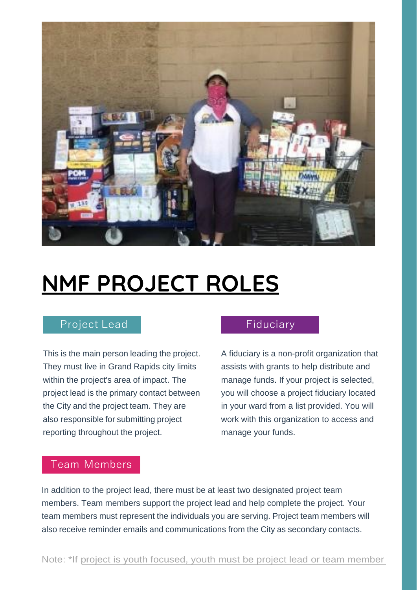

## NMF PROJECT ROLES

### Project Lead Fiduciary

This is the main person leading the project. They must live in Grand Rapids city limits within the project's area of impact. The project lead is the primary contact between the City and the project team. They are also responsible for submitting project reporting throughout the project.

A fiduciary is a non-profit organization that assists with grants to help distribute and manage funds. If your project is selected, you will choose a project fiduciary located in your ward from a list provided. You will work with this organization to access and manage your funds.

#### Team Members

In addition to the project lead, there must be at least two designated project team members. Team members support the project lead and help complete the project. Your team members must represent the individuals you are serving. Project team members will also receive reminder emails and communications from the City as secondary contacts.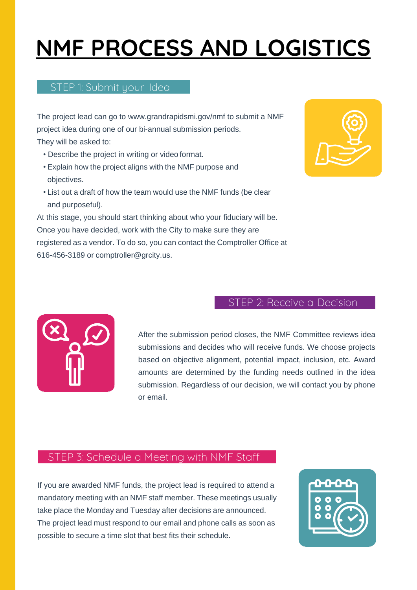## NMF PROCESS AND LOGISTICS

#### STEP 1: Submit your Idea

The project lead can go to [www.grandrapidsmi.gov/nmf t](http://www.grandrapidsmi.gov/nmf)o submit a NMF project idea during one of our bi-annual submission periods. They will be asked to:

- Describe the project in writing or video format.
- Explain how the project aligns with the NMF purpose and objectives.
- List out a draft of how the team would use the NMF funds (be clear and purposeful).

At this stage, you should start thinking about who your fiduciary will be. Once you have decided, work with the City to make sure they are registered as a vendor. To do so, you can contact the Comptroller Office at 616-456-3189 or [comptroller@grcity.us.](mailto:comptroller@grcity.us)



#### STEP 2: Receive a Decision



After the submission period closes, the NMF Committee reviews idea submissions and decides who will receive funds. We choose projects based on objective alignment, potential impact, inclusion, etc. Award amounts are determined by the funding needs outlined in the idea submission. Regardless of our decision, we will contact you by phone or email.

#### STEP 3: Schedule a Meeting with NMF Staff

If you are awarded NMF funds, the project lead is required to attend a mandatory meeting with an NMF staff member. These meetings usually take place the Monday and Tuesday after decisions are announced. The project lead must respond to our email and phone calls as soon as possible to secure a time slot that best fits their schedule.

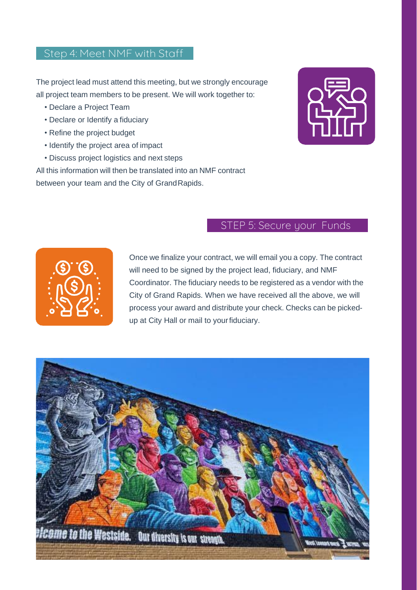#### Step 4: Meet NMF with Staff

The project lead must attend this meeting, but we strongly encourage all project team members to be present. We will work together to:

- Declare a Project Team
- Declare or Identify a fiduciary
- Refine the project budget
- Identify the project area of impact
- Discuss project logistics and next steps

All this information will then be translated into an NMF contract

between your team and the City of GrandRapids.



### STEP 5: Secure your Funds



Once we finalize your contract, we will email you a copy. The contract will need to be signed by the project lead, fiduciary, and NMF Coordinator. The fiduciary needs to be registered as a vendor with the City of Grand Rapids. When we have received all the above, we will process your award and distribute your check. Checks can be pickedup at City Hall or mail to yourfiduciary.

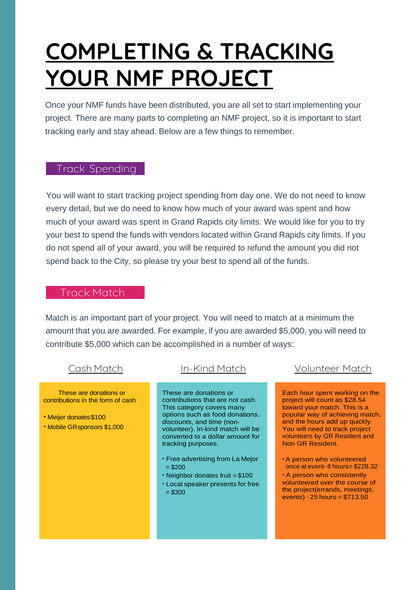## COMPLETING & TRACKING YOUR NMF PROJECT

Once your NMF funds have been distributed, you are all set to start implementing your project. There are many parts to completing an NMF project, so it is important to start tracking early and stay ahead. Below are a few things to remember.

#### Track Spending

You will want to start tracking project spending from day one. We do not need to know every detail, but we do need to know how much of your award was spent and how much of your award was spent in Grand Rapids city limits. We would like for you to try your best to spend the funds with vendors located within Grand Rapids city limits. If you do not spend all of your award, you will be required to refund the amount you did not spend back to the City, so please try your best to spend all of the funds.

#### Track Match

Match is an important part of your project. You will need to match at a minimum the amount that you are awarded. For example, if you are awarded \$5,000, you will need to contribute \$5,000 which can be accomplished in a number of ways:

These are donations or contributions in the form of cash

- Meijer donates\$100
- Mobile GRsponsors \$1,000

These are donations or contributions that are not cash. This category covers many options such as food donations, discounts, and time (non‐ volunteer). In-kind match will be converted to a dollar amount for tracking purposes.

- Free advertising from La Mejor  $= $200$
- Neighbor donates fruit = \$100
- Local speaker presents for free  $= $300$

#### Cash Match In-Kind Match Volunteer Match

Each hour spent working on the project will count as \$28.54 toward your match. This is a popular way of achieving match, and the hours add up quickly. You will need to track project volunteers by GR Resident and Non GR Resident.

•A person who volunteered once at event- 8 hours= \$228.32

• A person who consistently volunteered over the course of the project(errands, meetings, events) - 25 hours = \$713.50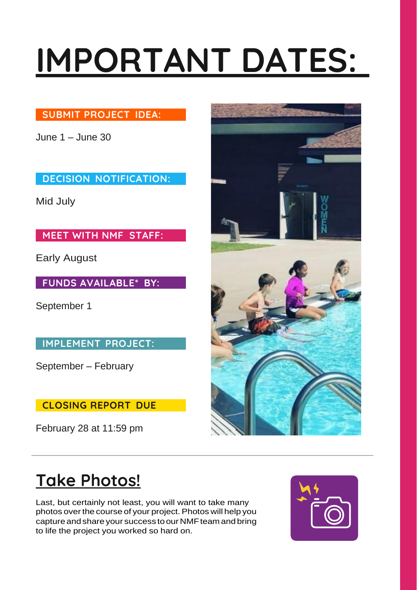# IMPORTANT DATES:

#### SUBMIT PROJECT IDEA:

June 1 – June 30

DECISION NOTIFICATION:

Mid July

MEET WITH NMF STAFF:

Early August

FUNDS AVAILABLE\* BY:

September 1

IMPLEMENT PROJECT:

September – February

CLOSING REPORT DUE

February 28 at 11:59 pm



## Take Photos!

Last, but certainly not least, you will want to take many photos over the course of your project. Photos will help you capture and share your success to our NMF team and bring to life the project you worked so hard on.

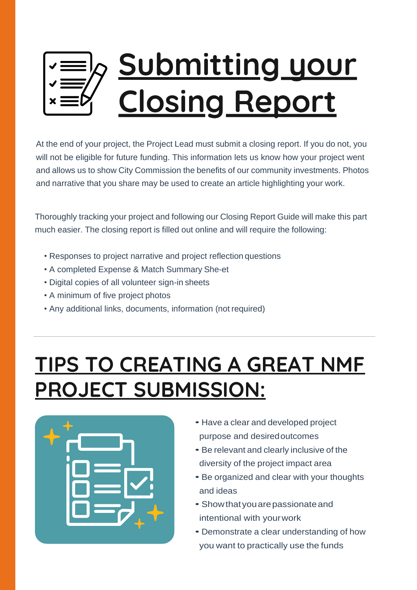# Submitting your Closing Report

At the end of your project, the Project Lead must submit a closing report. If you do not, you will not be eligible for future funding. This information lets us know how your project went and allows us to show City Commission the benefits of our community investments. Photos and narrative that you share may be used to create an article highlighting your work.

Thoroughly tracking your project and following our Closing Report Guide will make this part much easier. The closing report is filled out online and will require the following:

- Responses to project narrative and project reflection questions
- A completed Expense & Match Summary She-et
- Digital copies of all volunteer sign-in sheets
- A minimum of five project photos
- Any additional links, documents, information (not required)

## TIPS TO CREATING A GREAT NMF PROJECT SUBMISSION:



- Have <sup>a</sup> clear and developed project purpose and desiredoutcomes
- Be relevant and clearly inclusive of the diversity of the project impact area
- Be organized and clear with your thoughts and ideas
- Showthatyouarepassionateand intentional with yourwork
- Demonstrate <sup>a</sup> clear understanding of how you want to practically use the funds